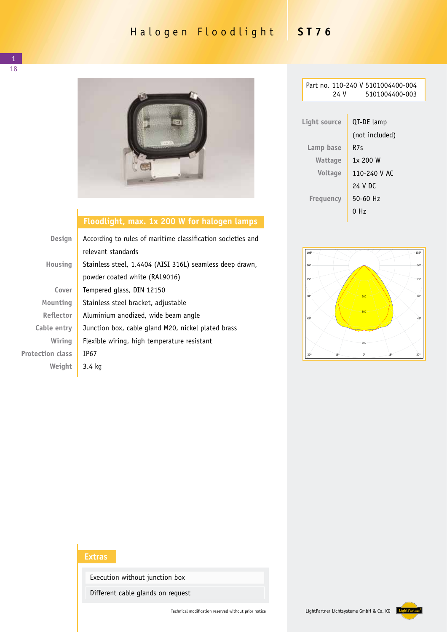## Halogen Floodlight **ST76**



## **Floodlight, max. 1x 200 W for halogen lamps**

| Design                  | According to rules of maritime classification societies and |  |  |
|-------------------------|-------------------------------------------------------------|--|--|
|                         | relevant standards                                          |  |  |
| Housing                 | Stainless steel, 1.4404 (AISI 316L) seamless deep drawn,    |  |  |
|                         | powder coated white (RAL9016)                               |  |  |
| Cover                   | Tempered glass, DIN 12150                                   |  |  |
| Mounting                | Stainless steel bracket, adjustable                         |  |  |
| <b>Reflector</b>        | Aluminium anodized, wide beam angle                         |  |  |
| Cable entry             | Junction box, cable gland M20, nickel plated brass          |  |  |
| Wiring                  | Flexible wiring, high temperature resistant                 |  |  |
| <b>Protection class</b> | IP67                                                        |  |  |
| Weight                  | 3.4 kg                                                      |  |  |

| 24 V             | Part no. 110-240 V 5101004400-004<br>5101004400-003 |  |
|------------------|-----------------------------------------------------|--|
|                  |                                                     |  |
| Light source     | QT-DE lamp                                          |  |
|                  | (not included)                                      |  |
| Lamp base        | R7s                                                 |  |
| Wattage          | 1x 200 W                                            |  |
| <b>Voltage</b>   | 110-240 V AC                                        |  |
|                  | 24 V DC                                             |  |
| <b>Freguency</b> | $50 - 60$ Hz                                        |  |
|                  | 0 Hz                                                |  |



## **Extras**

Execution without junction box

Different cable glands on request